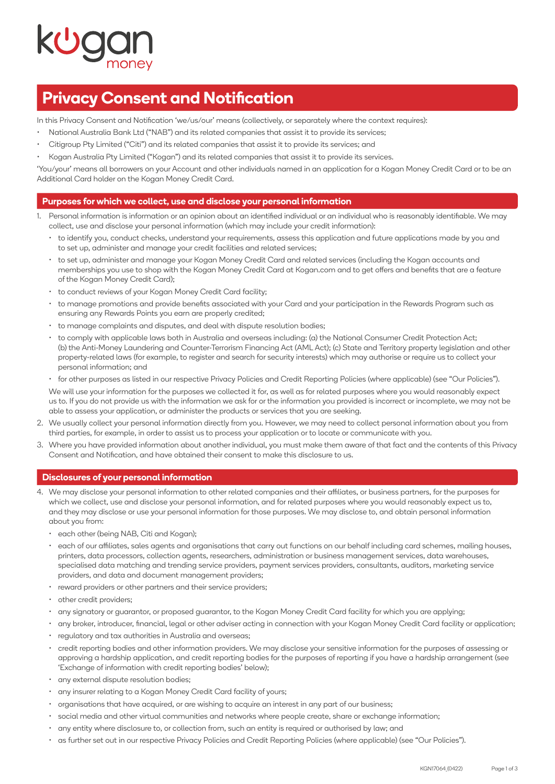# **Privacy Consent and Notification**

In this Privacy Consent and Notification 'we/us/our' means (collectively, or separately where the context requires):

- National Australia Bank Ltd ("NAB") and its related companies that assist it to provide its services;
- Citigroup Pty Limited ("Citi") and its related companies that assist it to provide its services; and
- Kogan Australia Pty Limited ("Kogan") and its related companies that assist it to provide its services.

'You/your' means all borrowers on your Account and other individuals named in an application for a Kogan Money Credit Card or to be an Additional Card holder on the Kogan Money Credit Card.

# **Purposes for which we collect, use and disclose your personal information**

- 1. Personal information is information or an opinion about an identified individual or an individual who is reasonably identifiable. We may collect, use and disclose your personal information (which may include your credit information):
	- to identify you, conduct checks, understand your requirements, assess this application and future applications made by you and to set up, administer and manage your credit facilities and related services;
	- to set up, administer and manage your Kogan Money Credit Card and related services (including the Kogan accounts and memberships you use to shop with the Kogan Money Credit Card at [Kogan.com](http://Kogan.com) and to get offers and benefits that are a feature of the Kogan Money Credit Card);
	- to conduct reviews of your Kogan Money Credit Card facility;
	- to manage promotions and provide benefits associated with your Card and your participation in the Rewards Program such as ensuring any Rewards Points you earn are properly credited;
	- to manage complaints and disputes, and deal with dispute resolution bodies;
	- to comply with applicable laws both in Australia and overseas including: (a) the National Consumer Credit Protection Act; (b) the Anti-Money Laundering and Counter-Terrorism Financing Act (AML Act); (c) State and Territory property legislation and other property-related laws (for example, to register and search for security interests) which may authorise or require us to collect your personal information; and
	- for other purposes as listed in our respective Privacy Policies and Credit Reporting Policies (where applicable) (see "Our Policies").

 We will use your information for the purposes we collected it for, as well as for related purposes where you would reasonably expect us to. If you do not provide us with the information we ask for or the information you provided is incorrect or incomplete, we may not be able to assess your application, or administer the products or services that you are seeking.

- 2. We usually collect your personal information directly from you. However, we may need to collect personal information about you from third parties, for example, in order to assist us to process your application or to locate or communicate with you.
- 3. Where you have provided information about another individual, you must make them aware of that fact and the contents of this Privacy Consent and Notification, and have obtained their consent to make this disclosure to us.

### **Disclosures of your personal information**

- 4. We may disclose your personal information to other related companies and their affiliates, or business partners, for the purposes for which we collect, use and disclose your personal information, and for related purposes where you would reasonably expect us to, and they may disclose or use your personal information for those purposes. We may disclose to, and obtain personal information about you from:
	- each other (being NAB, Citi and Kogan);
	- each of our affiliates, sales agents and organisations that carry out functions on our behalf including card schemes, mailing houses, printers, data processors, collection agents, researchers, administration or business management services, data warehouses, specialised data matching and trending service providers, payment services providers, consultants, auditors, marketing service providers, and data and document management providers;
	- reward providers or other partners and their service providers;
	- other credit providers;
	- any signatory or guarantor, or proposed guarantor, to the Kogan Money Credit Card facility for which you are applying;
	- any broker, introducer, financial, legal or other adviser acting in connection with your Kogan Money Credit Card facility or application;
	- regulatory and tax authorities in Australia and overseas;
	- credit reporting bodies and other information providers. We may disclose your sensitive information for the purposes of assessing or approving a hardship application, and credit reporting bodies for the purposes of reporting if you have a hardship arrangement (see 'Exchange of information with credit reporting bodies' below);
	- any external dispute resolution bodies;
	- any insurer relating to a Kogan Money Credit Card facility of yours;
	- organisations that have acquired, or are wishing to acquire an interest in any part of our business;
	- social media and other virtual communities and networks where people create, share or exchange information;
	- any entity where disclosure to, or collection from, such an entity is required or authorised by law; and
	- as further set out in our respective Privacy Policies and Credit Reporting Policies (where applicable) (see "Our Policies").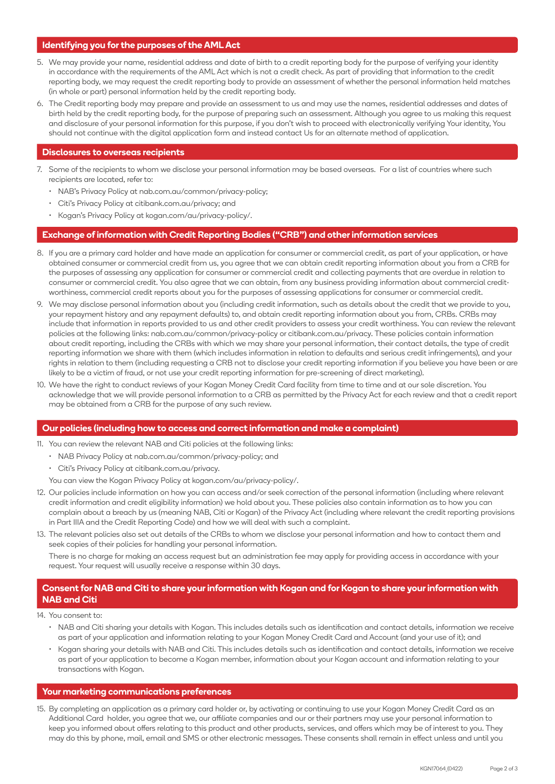# **Identifying you for the purposes of the AML Act**

- 5. We may provide your name, residential address and date of birth to a credit reporting body for the purpose of verifying your identity in accordance with the requirements of the AML Act which is not a credit check. As part of providing that information to the credit reporting body, we may request the credit reporting body to provide an assessment of whether the personal information held matches (in whole or part) personal information held by the credit reporting body.
- 6. The Credit reporting body may prepare and provide an assessment to us and may use the names, residential addresses and dates of birth held by the credit reporting body, for the purpose of preparing such an assessment. Although you agree to us making this request and disclosure of your personal information for this purpose, if you don't wish to proceed with electronically verifying Your identity, You should not continue with the digital application form and instead contact Us for an alternate method of application.

### **Disclosures to overseas recipients**

- 7. Some of the recipients to whom we disclose your personal information may be based overseas. For a list of countries where such recipients are located, refer to:
	- NAB's Privacy Policy at [nab.com.au/common/privacy-policy](http://nab.com.au/common/privacy-policy);
	- Citi's Privacy Policy at [citibank.com.au/privacy](http://citibank.com.au/privacy); and
	- Kogan's Privacy Policy at [kogan.com/au/privacy-policy/.](http://kogan.com/au/privacy-policy/)

#### **Exchange of information with Credit Reporting Bodies ("CRB") and other information services**

- 8. If you are a primary card holder and have made an application for consumer or commercial credit, as part of your application, or have obtained consumer or commercial credit from us, you agree that we can obtain credit reporting information about you from a CRB for the purposes of assessing any application for consumer or commercial credit and collecting payments that are overdue in relation to consumer or commercial credit. You also agree that we can obtain, from any business providing information about commercial creditworthiness, commercial credit reports about you for the purposes of assessing applications for consumer or commercial credit.
- 9. We may disclose personal information about you (including credit information, such as details about the credit that we provide to you, your repayment history and any repayment defaults) to, and obtain credit reporting information about you from, CRBs. CRBs may include that information in reports provided to us and other credit providers to assess your credit worthiness. You can review the relevant policies at the following links: [nab.com.au/common/privacy-policy](http://nab.com.au/common/privacy-policy) or [citibank.com.au/privacy](http://citibank.com.au/privacy). These policies contain information about credit reporting, including the CRBs with which we may share your personal information, their contact details, the type of credit reporting information we share with them (which includes information in relation to defaults and serious credit infringements), and your rights in relation to them (including requesting a CRB not to disclose your credit reporting information if you believe you have been or are likely to be a victim of fraud, or not use your credit reporting information for pre-screening of direct marketing).
- 10. We have the right to conduct reviews of your Kogan Money Credit Card facility from time to time and at our sole discretion. You acknowledge that we will provide personal information to a CRB as permitted by the Privacy Act for each review and that a credit report may be obtained from a CRB for the purpose of any such review.

#### **Our policies (including how to access and correct information and make a complaint)**

- 11. You can review the relevant NAB and Citi policies at the following links:
	- NAB Privacy Policy at [nab.com.au/common/privacy-policy;](http://nab.com.au/common/privacy-policy) and
	- Citi's Privacy Policy at [citibank.com.au/privacy.](http://citibank.com.au/privacy)

You can view the Kogan Privacy Policy at [kogan.com/au/privacy-policy/](http://kogan.com/au/privacy-policy/).

- 12. Our policies include information on how you can access and/or seek correction of the personal information (including where relevant credit information and credit eligibility information) we hold about you. These policies also contain information as to how you can complain about a breach by us (meaning NAB, Citi or Kogan) of the Privacy Act (including where relevant the credit reporting provisions in Part IIIA and the Credit Reporting Code) and how we will deal with such a complaint.
- 13. The relevant policies also set out details of the CRBs to whom we disclose your personal information and how to contact them and seek copies of their policies for handling your personal information.

 There is no charge for making an access request but an administration fee may apply for providing access in accordance with your request. Your request will usually receive a response within 30 days.

# **Consent for NAB and Citi to share your information with Kogan and for Kogan to share your information with NAB and Citi**

14. You consent to:

- NAB and Citi sharing your details with Kogan. This includes details such as identification and contact details, information we receive as part of your application and information relating to your Kogan Money Credit Card and Account (and your use of it); and
- Kogan sharing your details with NAB and Citi. This includes details such as identification and contact details, information we receive as part of your application to become a Kogan member, information about your Kogan account and information relating to your transactions with Kogan.

#### **Your marketing communications preferences**

15. By completing an application as a primary card holder or, by activating or continuing to use your Kogan Money Credit Card as an Additional Card holder, you agree that we, our affiliate companies and our or their partners may use your personal information to keep you informed about offers relating to this product and other products, services, and offers which may be of interest to you. They may do this by phone, mail, email and SMS or other electronic messages. These consents shall remain in effect unless and until you